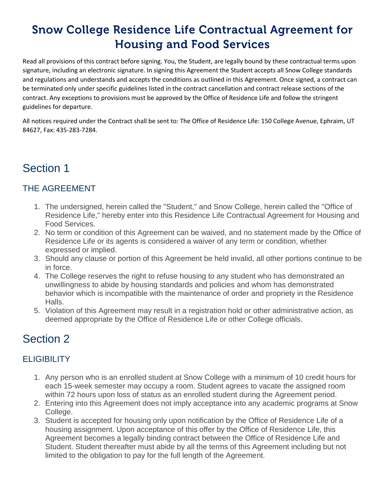# **Snow College Residence Life Contractual Agreement for Housing and Food Services**

Read all provisions of this contract before signing. You, the Student, are legally bound by these contractual terms upon signature, including an electronic signature. In signing this Agreement the Student accepts all Snow College standards and regulations and understands and accepts the conditions as outlined in this Agreement. Once signed, a contract can be terminated only under specific guidelines listed in the contract cancellation and contract release sections of the contract. Any exceptions to provisions must be approved by the Office of Residence Life and follow the stringent guidelines for departure.

All notices required under the Contract shall be sent to: The Office of Residence Life: 150 College Avenue, Ephraim, UT 84627, Fax: 435-283-7284.

## Section 1

#### THE AGREEMENT

- 1. The undersigned, herein called the "Student," and Snow College, herein called the "Office of Residence Life," hereby enter into this Residence Life Contractual Agreement for Housing and Food Services.
- 2. No term or condition of this Agreement can be waived, and no statement made by the Office of Residence Life or its agents is considered a waiver of any term or condition, whether expressed or implied.
- 3. Should any clause or portion of this Agreement be held invalid, all other portions continue to be in force.
- 4. The College reserves the right to refuse housing to any student who has demonstrated an unwillingness to abide by housing standards and policies and whom has demonstrated behavior which is incompatible with the maintenance of order and propriety in the Residence Halls.
- 5. Violation of this Agreement may result in a registration hold or other administrative action, as deemed appropriate by the Office of Residence Life or other College officials.

### Section 2

### **ELIGIBILITY**

- 1. Any person who is an enrolled student at Snow College with a minimum of 10 credit hours for each 15-week semester may occupy a room. Student agrees to vacate the assigned room within 72 hours upon loss of status as an enrolled student during the Agreement period.
- 2. Entering into this Agreement does not imply acceptance into any academic programs at Snow College.
- 3. Student is accepted for housing only upon notification by the Office of Residence Life of a housing assignment. Upon acceptance of this offer by the Office of Residence Life, this Agreement becomes a legally binding contract between the Office of Residence Life and Student. Student thereafter must abide by all the terms of this Agreement including but not limited to the obligation to pay for the full length of the Agreement.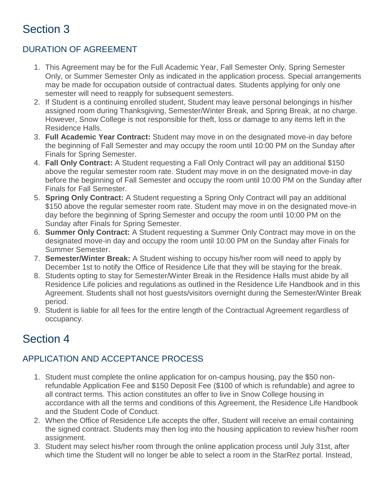## Section 3

#### DURATION OF AGREEMENT

- 1. This Agreement may be for the Full Academic Year, Fall Semester Only, Spring Semester Only, or Summer Semester Only as indicated in the application process. Special arrangements may be made for occupation outside of contractual dates. Students applying for only one semester will need to reapply for subsequent semesters.
- 2. If Student is a continuing enrolled student, Student may leave personal belongings in his/her assigned room during Thanksgiving, Semester/Winter Break, and Spring Break, at no charge. However, Snow College is not responsible for theft, loss or damage to any items left in the Residence Halls.
- 3. **Full Academic Year Contract:** Student may move in on the designated move-in day before the beginning of Fall Semester and may occupy the room until 10:00 PM on the Sunday after Finals for Spring Semester.
- 4. **Fall Only Contract:** A Student requesting a Fall Only Contract will pay an additional \$150 above the regular semester room rate. Student may move in on the designated move-in day before the beginning of Fall Semester and occupy the room until 10:00 PM on the Sunday after Finals for Fall Semester.
- 5. **Spring Only Contract:** A Student requesting a Spring Only Contract will pay an additional \$150 above the regular semester room rate. Student may move in on the designated move-in day before the beginning of Spring Semester and occupy the room until 10:00 PM on the Sunday after Finals for Spring Semester.
- 6. **Summer Only Contract:** A Student requesting a Summer Only Contract may move in on the designated move-in day and occupy the room until 10:00 PM on the Sunday after Finals for Summer Semester.
- 7. **Semester/Winter Break:** A Student wishing to occupy his/her room will need to apply by December 1st to notify the Office of Residence Life that they will be staying for the break.
- 8. Students opting to stay for Semester/Winter Break in the Residence Halls must abide by all Residence Life policies and regulations as outlined in the Residence Life Handbook and in this Agreement. Students shall not host guests/visitors overnight during the Semester/Winter Break period.
- 9. Student is liable for all fees for the entire length of the Contractual Agreement regardless of occupancy.

### Section 4

### APPLICATION AND ACCEPTANCE PROCESS

- 1. Student must complete the online application for on-campus housing, pay the \$50 nonrefundable Application Fee and \$150 Deposit Fee (\$100 of which is refundable) and agree to all contract terms. This action constitutes an offer to live in Snow College housing in accordance with all the terms and conditions of this Agreement, the Residence Life Handbook and the Student Code of Conduct.
- 2. When the Office of Residence Life accepts the offer, Student will receive an email containing the signed contract. Students may then log into the housing application to review his/her room assignment.
- 3. Student may select his/her room through the online application process until July 31st, after which time the Student will no longer be able to select a room in the StarRez portal. Instead,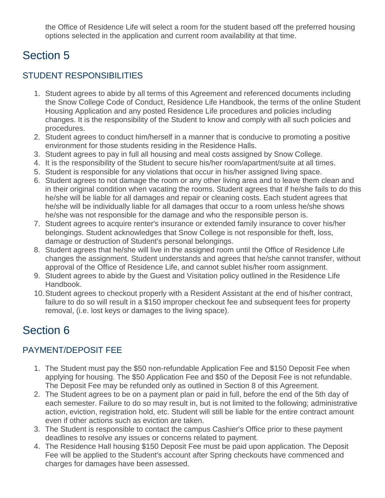the Office of Residence Life will select a room for the student based off the preferred housing options selected in the application and current room availability at that time.

### Section 5

#### STUDENT RESPONSIBILITIES

- 1. Student agrees to abide by all terms of this Agreement and referenced documents including the Snow College Code of Conduct, Residence Life Handbook, the terms of the online Student Housing Application and any posted Residence Life procedures and policies including changes. It is the responsibility of the Student to know and comply with all such policies and procedures.
- 2. Student agrees to conduct him/herself in a manner that is conducive to promoting a positive environment for those students residing in the Residence Halls.
- 3. Student agrees to pay in full all housing and meal costs assigned by Snow College.
- 4. It is the responsibility of the Student to secure his/her room/apartment/suite at all times.
- 5. Student is responsible for any violations that occur in his/her assigned living space.
- 6. Student agrees to not damage the room or any other living area and to leave them clean and in their original condition when vacating the rooms. Student agrees that if he/she fails to do this he/she will be liable for all damages and repair or cleaning costs. Each student agrees that he/she will be individually liable for all damages that occur to a room unless he/she shows he/she was not responsible for the damage and who the responsible person is.
- 7. Student agrees to acquire renter's insurance or extended family insurance to cover his/her belongings. Student acknowledges that Snow College is not responsible for theft, loss, damage or destruction of Student's personal belongings.
- 8. Student agrees that he/she will live in the assigned room until the Office of Residence Life changes the assignment. Student understands and agrees that he/she cannot transfer, without approval of the Office of Residence Life, and cannot sublet his/her room assignment.
- 9. Student agrees to abide by the Guest and Visitation policy outlined in the Residence Life Handbook.
- 10.Student agrees to checkout properly with a Resident Assistant at the end of his/her contract, failure to do so will result in a \$150 improper checkout fee and subsequent fees for property removal, (i.e. lost keys or damages to the living space).

# Section 6

### PAYMENT/DEPOSIT FEE

- 1. The Student must pay the \$50 non-refundable Application Fee and \$150 Deposit Fee when applying for housing. The \$50 Application Fee and \$50 of the Deposit Fee is not refundable. The Deposit Fee may be refunded only as outlined in Section 8 of this Agreement.
- 2. The Student agrees to be on a payment plan or paid in full, before the end of the 5th day of each semester. Failure to do so may result in, but is not limited to the following; administrative action, eviction, registration hold, etc. Student will still be liable for the entire contract amount even if other actions such as eviction are taken.
- 3. The Student is responsible to contact the campus Cashier's Office prior to these payment deadlines to resolve any issues or concerns related to payment.
- 4. The Residence Hall housing \$150 Deposit Fee must be paid upon application. The Deposit Fee will be applied to the Student's account after Spring checkouts have commenced and charges for damages have been assessed.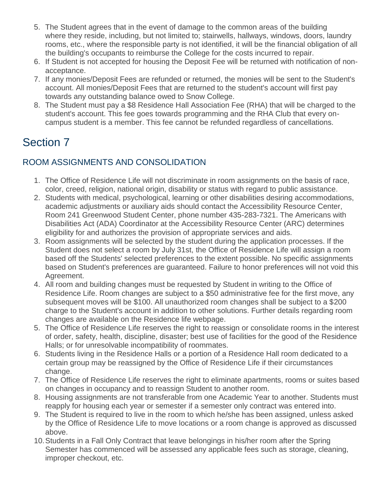- 5. The Student agrees that in the event of damage to the common areas of the building where they reside, including, but not limited to; stairwells, hallways, windows, doors, laundry rooms, etc., where the responsible party is not identified, it will be the financial obligation of all the building's occupants to reimburse the College for the costs incurred to repair.
- 6. If Student is not accepted for housing the Deposit Fee will be returned with notification of nonacceptance.
- 7. If any monies/Deposit Fees are refunded or returned, the monies will be sent to the Student's account. All monies/Deposit Fees that are returned to the student's account will first pay towards any outstanding balance owed to Snow College.
- 8. The Student must pay a \$8 Residence Hall Association Fee (RHA) that will be charged to the student's account. This fee goes towards programming and the RHA Club that every oncampus student is a member. This fee cannot be refunded regardless of cancellations.

## Section 7

#### ROOM ASSIGNMENTS AND CONSOLIDATION

- 1. The Office of Residence Life will not discriminate in room assignments on the basis of race, color, creed, religion, national origin, disability or status with regard to public assistance.
- 2. Students with medical, psychological, learning or other disabilities desiring accommodations, academic adjustments or auxiliary aids should contact the Accessibility Resource Center, Room 241 Greenwood Student Center, phone number 435-283-7321. The Americans with Disabilities Act (ADA) Coordinator at the Accessibility Resource Center (ARC) determines eligibility for and authorizes the provision of appropriate services and aids.
- 3. Room assignments will be selected by the student during the application processes. If the Student does not select a room by July 31st, the Office of Residence Life will assign a room based off the Students' selected preferences to the extent possible. No specific assignments based on Student's preferences are guaranteed. Failure to honor preferences will not void this Agreement.
- 4. All room and building changes must be requested by Student in writing to the Office of Residence Life. Room changes are subject to a \$50 administrative fee for the first move, any subsequent moves will be \$100. All unauthorized room changes shall be subject to a \$200 charge to the Student's account in addition to other solutions. Further details regarding room changes are available on the Residence life webpage.
- 5. The Office of Residence Life reserves the right to reassign or consolidate rooms in the interest of order, safety, health, discipline, disaster; best use of facilities for the good of the Residence Halls; or for unresolvable incompatibility of roommates.
- 6. Students living in the Residence Halls or a portion of a Residence Hall room dedicated to a certain group may be reassigned by the Office of Residence Life if their circumstances change.
- 7. The Office of Residence Life reserves the right to eliminate apartments, rooms or suites based on changes in occupancy and to reassign Student to another room.
- 8. Housing assignments are not transferable from one Academic Year to another. Students must reapply for housing each year or semester if a semester only contract was entered into.
- 9. The Student is required to live in the room to which he/she has been assigned, unless asked by the Office of Residence Life to move locations or a room change is approved as discussed above.
- 10.Students in a Fall Only Contract that leave belongings in his/her room after the Spring Semester has commenced will be assessed any applicable fees such as storage, cleaning, improper checkout, etc.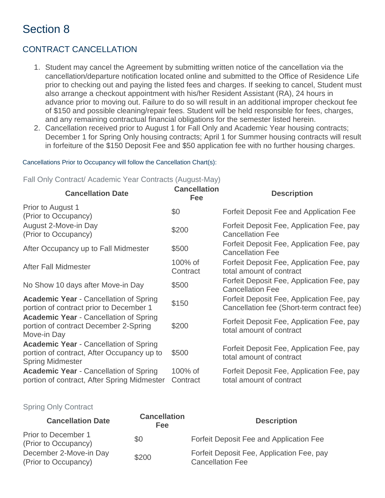### Section 8

### CONTRACT CANCELLATION

- 1. Student may cancel the Agreement by submitting written notice of the cancellation via the cancellation/departure notification located online and submitted to the Office of Residence Life prior to checking out and paying the listed fees and charges. If seeking to cancel, Student must also arrange a checkout appointment with his/her Resident Assistant (RA), 24 hours in advance prior to moving out. Failure to do so will result in an additional improper checkout fee of \$150 and possible cleaning/repair fees. Student will be held responsible for fees, charges, and any remaining contractual financial obligations for the semester listed herein.
- 2. Cancellation received prior to August 1 for Fall Only and Academic Year housing contracts; December 1 for Spring Only housing contracts; April 1 for Summer housing contracts will result in forfeiture of the \$150 Deposit Fee and \$50 application fee with no further housing charges.

#### Cancellations Prior to Occupancy will follow the Cancellation Chart(s):

Fall Only Contract/ Academic Year Contracts (August-May)

| <b>Cancellation Date</b>                                                                                               | <b>Cancellation</b><br>Fee | <b>Description</b>                                                                      |
|------------------------------------------------------------------------------------------------------------------------|----------------------------|-----------------------------------------------------------------------------------------|
| Prior to August 1<br>(Prior to Occupancy)                                                                              | \$0                        | Forfeit Deposit Fee and Application Fee                                                 |
| August 2-Move-in Day<br>(Prior to Occupancy)                                                                           | \$200                      | Forfeit Deposit Fee, Application Fee, pay<br><b>Cancellation Fee</b>                    |
| After Occupancy up to Fall Midmester                                                                                   | \$500                      | Forfeit Deposit Fee, Application Fee, pay<br><b>Cancellation Fee</b>                    |
| After Fall Midmester                                                                                                   | 100% of<br>Contract        | Forfeit Deposit Fee, Application Fee, pay<br>total amount of contract                   |
| No Show 10 days after Move-in Day                                                                                      | \$500                      | Forfeit Deposit Fee, Application Fee, pay<br><b>Cancellation Fee</b>                    |
| <b>Academic Year - Cancellation of Spring</b><br>portion of contract prior to December 1                               | \$150                      | Forfeit Deposit Fee, Application Fee, pay<br>Cancellation fee (Short-term contract fee) |
| <b>Academic Year - Cancellation of Spring</b><br>portion of contract December 2-Spring<br>Move-in Day                  | \$200                      | Forfeit Deposit Fee, Application Fee, pay<br>total amount of contract                   |
| <b>Academic Year - Cancellation of Spring</b><br>portion of contract, After Occupancy up to<br><b>Spring Midmester</b> | \$500                      | Forfeit Deposit Fee, Application Fee, pay<br>total amount of contract                   |
| <b>Academic Year - Cancellation of Spring</b><br>portion of contract, After Spring Midmester                           | 100% of<br>Contract        | Forfeit Deposit Fee, Application Fee, pay<br>total amount of contract                   |

#### Spring Only Contract

| <b>Cancellation Date</b>                       | <b>Cancellation</b><br><b>Fee</b> | <b>Description</b>                                                   |
|------------------------------------------------|-----------------------------------|----------------------------------------------------------------------|
| Prior to December 1<br>(Prior to Occupancy)    | \$0                               | Forfeit Deposit Fee and Application Fee                              |
| December 2-Move-in Day<br>(Prior to Occupancy) | \$200                             | Forfeit Deposit Fee, Application Fee, pay<br><b>Cancellation Fee</b> |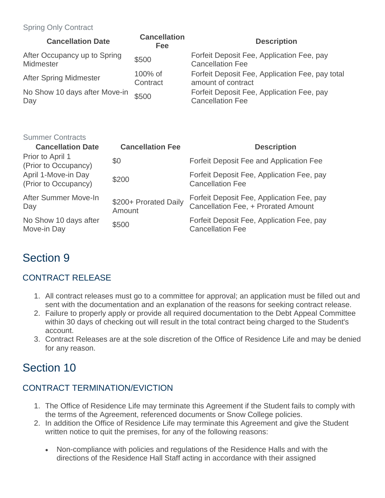#### Spring Only Contract

| <b>Cancellation Date</b>                  | <b>Cancellation</b><br>Fee | <b>Description</b>                                                    |
|-------------------------------------------|----------------------------|-----------------------------------------------------------------------|
| After Occupancy up to Spring<br>Midmester | \$500                      | Forfeit Deposit Fee, Application Fee, pay<br><b>Cancellation Fee</b>  |
| <b>After Spring Midmester</b>             | 100% of<br>Contract        | Forfeit Deposit Fee, Application Fee, pay total<br>amount of contract |
| No Show 10 days after Move-in<br>Day      | \$500                      | Forfeit Deposit Fee, Application Fee, pay<br><b>Cancellation Fee</b>  |

| <b>Summer Contracts</b>                     |                                 |                                                                                  |
|---------------------------------------------|---------------------------------|----------------------------------------------------------------------------------|
| <b>Cancellation Date</b>                    | <b>Cancellation Fee</b>         | <b>Description</b>                                                               |
| Prior to April 1<br>(Prior to Occupancy)    | \$0                             | Forfeit Deposit Fee and Application Fee                                          |
| April 1-Move-in Day<br>(Prior to Occupancy) | \$200                           | Forfeit Deposit Fee, Application Fee, pay<br><b>Cancellation Fee</b>             |
| After Summer Move-In<br>Day                 | \$200+ Prorated Daily<br>Amount | Forfeit Deposit Fee, Application Fee, pay<br>Cancellation Fee, + Prorated Amount |
| No Show 10 days after<br>Move-in Day        | \$500                           | Forfeit Deposit Fee, Application Fee, pay<br><b>Cancellation Fee</b>             |

### Section 9

### CONTRACT RELEASE

- 1. All contract releases must go to a committee for approval; an application must be filled out and sent with the documentation and an explanation of the reasons for seeking contract release.
- 2. Failure to properly apply or provide all required documentation to the Debt Appeal Committee within 30 days of checking out will result in the total contract being charged to the Student's account.
- 3. Contract Releases are at the sole discretion of the Office of Residence Life and may be denied for any reason.

### Section 10

### CONTRACT TERMINATION/EVICTION

- 1. The Office of Residence Life may terminate this Agreement if the Student fails to comply with the terms of the Agreement, referenced documents or Snow College policies.
- 2. In addition the Office of Residence Life may terminate this Agreement and give the Student written notice to quit the premises, for any of the following reasons:
	- Non-compliance with policies and regulations of the Residence Halls and with the directions of the Residence Hall Staff acting in accordance with their assigned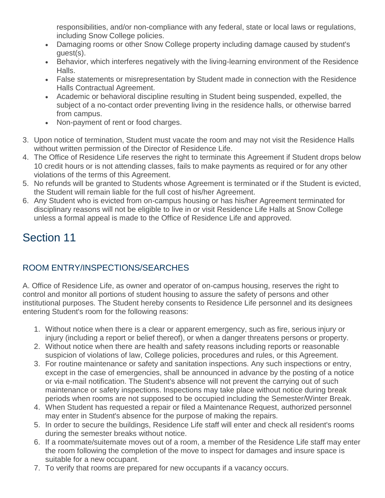responsibilities, and/or non-compliance with any federal, state or local laws or regulations, including Snow College policies.

- Damaging rooms or other Snow College property including damage caused by student's guest(s).
- Behavior, which interferes negatively with the living-learning environment of the Residence Halls.
- False statements or misrepresentation by Student made in connection with the Residence Halls Contractual Agreement.
- Academic or behavioral discipline resulting in Student being suspended, expelled, the subject of a no-contact order preventing living in the residence halls, or otherwise barred from campus.
- Non-payment of rent or food charges.
- 3. Upon notice of termination, Student must vacate the room and may not visit the Residence Halls without written permission of the Director of Residence Life.
- 4. The Office of Residence Life reserves the right to terminate this Agreement if Student drops below 10 credit hours or is not attending classes, fails to make payments as required or for any other violations of the terms of this Agreement.
- 5. No refunds will be granted to Students whose Agreement is terminated or if the Student is evicted, the Student will remain liable for the full cost of his/her Agreement.
- 6. Any Student who is evicted from on-campus housing or has his/her Agreement terminated for disciplinary reasons will not be eligible to live in or visit Residence Life Halls at Snow College unless a formal appeal is made to the Office of Residence Life and approved.

# Section 11

### ROOM ENTRY/INSPECTIONS/SEARCHES

A. Office of Residence Life, as owner and operator of on-campus housing, reserves the right to control and monitor all portions of student housing to assure the safety of persons and other institutional purposes. The Student hereby consents to Residence Life personnel and its designees entering Student's room for the following reasons:

- 1. Without notice when there is a clear or apparent emergency, such as fire, serious injury or injury (including a report or belief thereof), or when a danger threatens persons or property.
- 2. Without notice when there are health and safety reasons including reports or reasonable suspicion of violations of law, College policies, procedures and rules, or this Agreement.
- 3. For routine maintenance or safety and sanitation inspections. Any such inspections or entry, except in the case of emergencies, shall be announced in advance by the posting of a notice or via e-mail notification. The Student's absence will not prevent the carrying out of such maintenance or safety inspections. Inspections may take place without notice during break periods when rooms are not supposed to be occupied including the Semester/Winter Break.
- 4. When Student has requested a repair or filed a Maintenance Request, authorized personnel may enter in Student's absence for the purpose of making the repairs.
- 5. In order to secure the buildings, Residence Life staff will enter and check all resident's rooms during the semester breaks without notice.
- 6. If a roommate/suitemate moves out of a room, a member of the Residence Life staff may enter the room following the completion of the move to inspect for damages and insure space is suitable for a new occupant.
- 7. To verify that rooms are prepared for new occupants if a vacancy occurs.